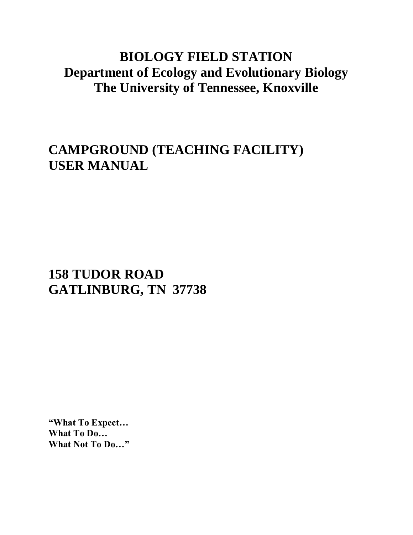## **BIOLOGY FIELD STATION Department of Ecology and Evolutionary Biology The University of Tennessee, Knoxville**

# **CAMPGROUND (TEACHING FACILITY) USER MANUAL**

# **158 TUDOR ROAD GATLINBURG, TN 37738**

**"What To Expect… What To Do… What Not To Do…"**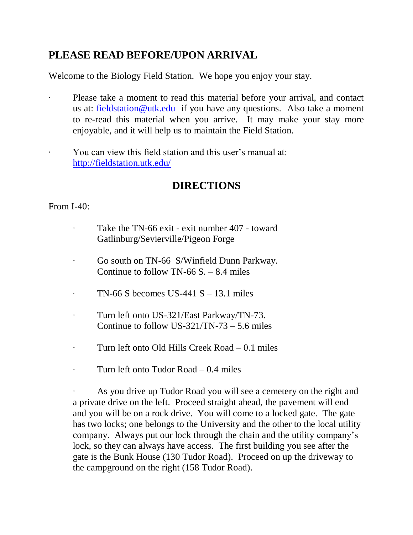### **PLEASE READ BEFORE/UPON ARRIVAL**

Welcome to the Biology Field Station. We hope you enjoy your stay.

- Please take a moment to read this material before your arrival, and contact us at: [fieldstation@utk.edu](mailto:fieldstation@utk.edu) if you have any questions. Also take a moment to re-read this material when you arrive. It may make your stay more enjoyable, and it will help us to maintain the Field Station.
- · You can view this field station and this user's manual at: <http://fieldstation.utk.edu/>

### **DIRECTIONS**

#### From I-40:

- Take the TN-66 exit exit number 407 toward Gatlinburg/Sevierville/Pigeon Forge
- ∙ Go south on TN-66 S/Winfield Dunn Parkway. Continue to follow TN-66  $S = 8.4$  miles
- TN-66 S becomes US-441 S 13.1 miles
- ∙ Turn left onto US-321/East Parkway/TN-73. Continue to follow US-321/TN-73 – 5.6 miles
- ∙ Turn left onto Old Hills Creek Road 0.1 miles
- ∙ Turn left onto Tudor Road 0.4 miles

∙ As you drive up Tudor Road you will see a cemetery on the right and a private drive on the left. Proceed straight ahead, the pavement will end and you will be on a rock drive. You will come to a locked gate. The gate has two locks; one belongs to the University and the other to the local utility company. Always put our lock through the chain and the utility company's lock, so they can always have access. The first building you see after the gate is the Bunk House (130 Tudor Road). Proceed on up the driveway to the campground on the right (158 Tudor Road).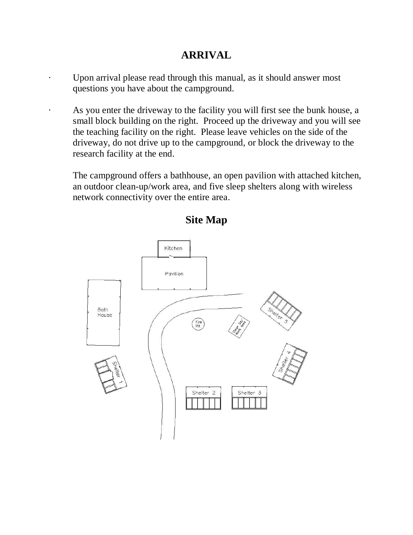### **ARRIVAL**

- Upon arrival please read through this manual, as it should answer most questions you have about the campground.
- · As you enter the driveway to the facility you will first see the bunk house, a small block building on the right. Proceed up the driveway and you will see the teaching facility on the right. Please leave vehicles on the side of the driveway, do not drive up to the campground, or block the driveway to the research facility at the end.

The campground offers a bathhouse, an open pavilion with attached kitchen, an outdoor clean-up/work area, and five sleep shelters along with wireless network connectivity over the entire area.



**Site Map**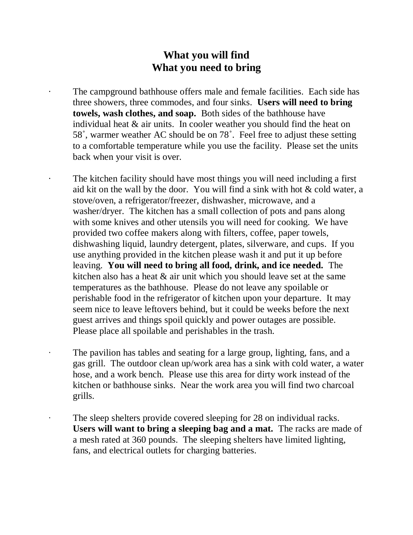#### **What you will find What you need to bring**

The campground bathhouse offers male and female facilities. Each side has three showers, three commodes, and four sinks. **Users will need to bring towels, wash clothes, and soap.** Both sides of the bathhouse have individual heat & air units. In cooler weather you should find the heat on 58˚, warmer weather AC should be on 78˚. Feel free to adjust these setting to a comfortable temperature while you use the facility. Please set the units back when your visit is over.

The kitchen facility should have most things you will need including a first aid kit on the wall by the door. You will find a sink with hot & cold water, a stove/oven, a refrigerator/freezer, dishwasher, microwave, and a washer/dryer. The kitchen has a small collection of pots and pans along with some knives and other utensils you will need for cooking. We have provided two coffee makers along with filters, coffee, paper towels, dishwashing liquid, laundry detergent, plates, silverware, and cups. If you use anything provided in the kitchen please wash it and put it up before leaving. **You will need to bring all food, drink, and ice needed.** The kitchen also has a heat & air unit which you should leave set at the same temperatures as the bathhouse. Please do not leave any spoilable or perishable food in the refrigerator of kitchen upon your departure. It may seem nice to leave leftovers behind, but it could be weeks before the next guest arrives and things spoil quickly and power outages are possible. Please place all spoilable and perishables in the trash.

- The pavilion has tables and seating for a large group, lighting, fans, and a gas grill. The outdoor clean up/work area has a sink with cold water, a water hose, and a work bench. Please use this area for dirty work instead of the kitchen or bathhouse sinks. Near the work area you will find two charcoal grills.
	- The sleep shelters provide covered sleeping for 28 on individual racks. **Users will want to bring a sleeping bag and a mat.** The racks are made of a mesh rated at 360 pounds. The sleeping shelters have limited lighting, fans, and electrical outlets for charging batteries.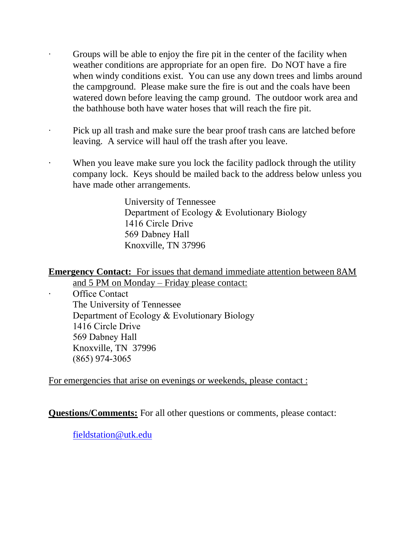- ∙ Groups will be able to enjoy the fire pit in the center of the facility when weather conditions are appropriate for an open fire. Do NOT have a fire when windy conditions exist. You can use any down trees and limbs around the campground. Please make sure the fire is out and the coals have been watered down before leaving the camp ground. The outdoor work area and the bathhouse both have water hoses that will reach the fire pit.
- ∙ Pick up all trash and make sure the bear proof trash cans are latched before leaving. A service will haul off the trash after you leave.
	- When you leave make sure you lock the facility padlock through the utility company lock. Keys should be mailed back to the address below unless you have made other arrangements.

University of Tennessee Department of Ecology & Evolutionary Biology 1416 Circle Drive 569 Dabney Hall Knoxville, TN 37996

**Emergency Contact:** For issues that demand immediate attention between 8AM and 5 PM on Monday – Friday please contact:

Office Contact The University of Tennessee Department of Ecology & Evolutionary Biology 1416 Circle Drive 569 Dabney Hall Knoxville, TN 37996 (865) 974-3065

For emergencies that arise on evenings or weekends, please contact :

**Questions/Comments:** For all other questions or comments, please contact:

fieldstation@utk.edu